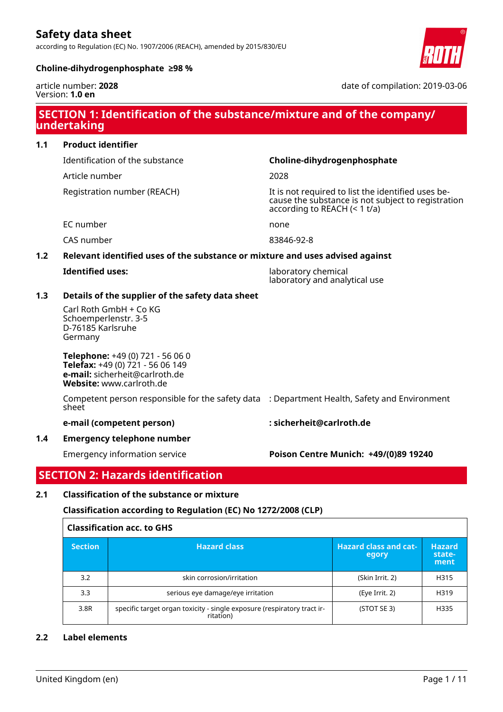according to Regulation (EC) No. 1907/2006 (REACH), amended by 2015/830/EU



#### **Choline-dihydrogenphosphate ≥98 %**

article number: **2028** Version: **1.0 en**

date of compilation: 2019-03-06

## **SECTION 1: Identification of the substance/mixture and of the company/ undertaking**

## **1.1 Product identifier**

Article number 2028

## Identification of the substance **Choline-dihydrogenphosphate**

Registration number (REACH) The state of the identified uses because the substance is not subject to registration according to REACH (< 1 t/a)

EC number none

CAS number 83846-92-8

## **1.2 Relevant identified uses of the substance or mixture and uses advised against**

|  |  |  |  | <b>Identified uses:</b> |
|--|--|--|--|-------------------------|
|--|--|--|--|-------------------------|

**Iaboratory chemical** laboratory and analytical use

## **1.3 Details of the supplier of the safety data sheet**

Carl Roth GmbH + Co KG Schoemperlenstr. 3-5 D-76185 Karlsruhe Germany

**Telephone:** +49 (0) 721 - 56 06 0 **Telefax:** +49 (0) 721 - 56 06 149 **e-mail:** sicherheit@carlroth.de **Website:** www.carlroth.de

Competent person responsible for the safety data : Department Health, Safety and Environment sheet

**e-mail (competent person) : sicherheit@carlroth.de**

## **1.4 Emergency telephone number**

Emergency information service **Poison Centre Munich: +49/(0)89 19240**

## **SECTION 2: Hazards identification**

## **2.1 Classification of the substance or mixture**

## **Classification according to Regulation (EC) No 1272/2008 (CLP)**

| <b>Classification acc. to GHS</b> |                                                                                      |                                       |                                 |
|-----------------------------------|--------------------------------------------------------------------------------------|---------------------------------------|---------------------------------|
| <b>Section</b>                    | <b>Hazard class</b>                                                                  | <b>Hazard class and cat-</b><br>egory | <b>Hazard</b><br>state-<br>ment |
| 3.2                               | skin corrosion/irritation                                                            | (Skin Irrit. 2)                       | H315                            |
| 3.3                               | serious eye damage/eye irritation                                                    | (Eye Irrit. 2)                        | H319                            |
| 3.8R                              | specific target organ toxicity - single exposure (respiratory tract ir-<br>ritation) | (STOT SE 3)                           | H335                            |

## **2.2 Label elements**

 $\overline{1}$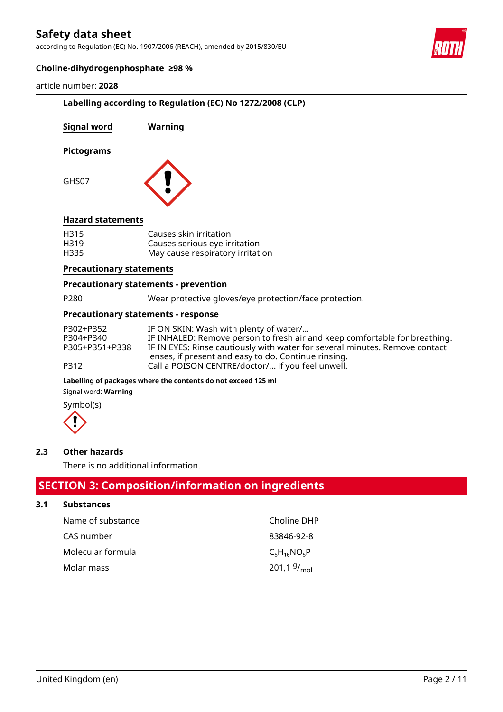according to Regulation (EC) No. 1907/2006 (REACH), amended by 2015/830/EU



### **Choline-dihydrogenphosphate ≥98 %**

#### article number: **2028**

## **Labelling according to Regulation (EC) No 1272/2008 (CLP)**

| Signal word              | Warning                                                                                     |
|--------------------------|---------------------------------------------------------------------------------------------|
| <b>Pictograms</b>        |                                                                                             |
| GHS07                    |                                                                                             |
| <b>Hazard statements</b> |                                                                                             |
| H315<br>H319<br>H335     | Causes skin irritation<br>Causes serious eye irritation<br>May cause respiratory irritation |

#### **Precautionary statements**

#### **Precautionary statements - prevention**

P280 Wear protective gloves/eye protection/face protection.

#### **Precautionary statements - response**

| P302+P352      | IF ON SKIN: Wash with plenty of water/                                                                   |
|----------------|----------------------------------------------------------------------------------------------------------|
| P304+P340      | IF INHALED: Remove person to fresh air and keep comfortable for breathing.                               |
| P305+P351+P338 | IF IN EYES: Rinse cautiously with water for several minutes. Remove contact                              |
| P312           | lenses, if present and easy to do. Continue rinsing.<br>Call a POISON CENTRE/doctor/ if you feel unwell. |

#### **Labelling of packages where the contents do not exceed 125 ml**

Signal word: **Warning**

Symbol(s)



#### **2.3 Other hazards**

There is no additional information.

## **SECTION 3: Composition/information on ingredients**

## **3.1 Substances**

| Name of substance | Choline DHP             |
|-------------------|-------------------------|
| CAS number        | 83846-92-8              |
| Molecular formula | $C_5H_{16}NO_5P$        |
| Molar mass        | 201,1 $9/_{\text{mol}}$ |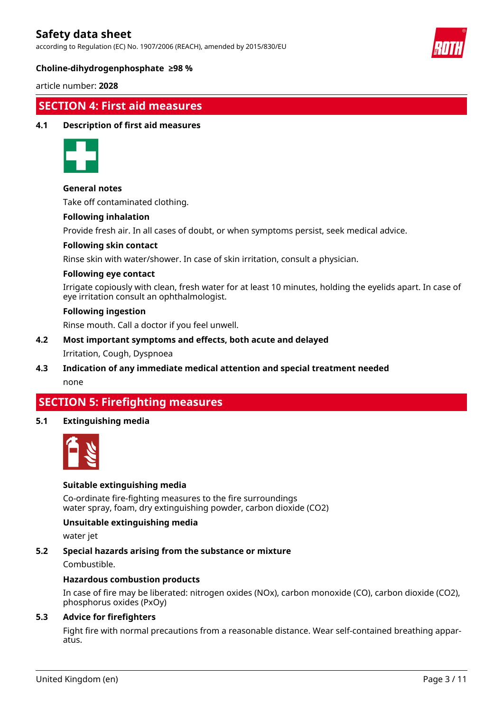according to Regulation (EC) No. 1907/2006 (REACH), amended by 2015/830/EU



### **Choline-dihydrogenphosphate ≥98 %**

article number: **2028**

## **SECTION 4: First aid measures**

#### **4.1 Description of first aid measures**



#### **General notes**

Take off contaminated clothing.

#### **Following inhalation**

Provide fresh air. In all cases of doubt, or when symptoms persist, seek medical advice.

#### **Following skin contact**

Rinse skin with water/shower. In case of skin irritation, consult a physician.

#### **Following eye contact**

Irrigate copiously with clean, fresh water for at least 10 minutes, holding the eyelids apart. In case of eye irritation consult an ophthalmologist.

#### **Following ingestion**

Rinse mouth. Call a doctor if you feel unwell.

## **4.2 Most important symptoms and effects, both acute and delayed**

#### Irritation, Cough, Dyspnoea

**4.3 Indication of any immediate medical attention and special treatment needed** none

## **SECTION 5: Firefighting measures**

### **5.1 Extinguishing media**



### **Suitable extinguishing media**

Co-ordinate fire-fighting measures to the fire surroundings water spray, foam, dry extinguishing powder, carbon dioxide (CO2)

### **Unsuitable extinguishing media**

water jet

#### **5.2 Special hazards arising from the substance or mixture**

Combustible.

#### **Hazardous combustion products**

In case of fire may be liberated: nitrogen oxides (NOx), carbon monoxide (CO), carbon dioxide (CO2), phosphorus oxides (PxOy)

#### **5.3 Advice for firefighters**

Fight fire with normal precautions from a reasonable distance. Wear self-contained breathing apparatus.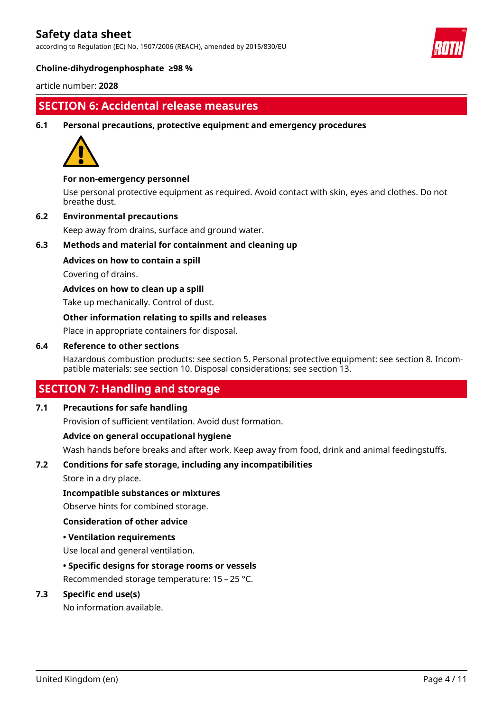according to Regulation (EC) No. 1907/2006 (REACH), amended by 2015/830/EU



#### **Choline-dihydrogenphosphate ≥98 %**

article number: **2028**

## **SECTION 6: Accidental release measures**

#### **6.1 Personal precautions, protective equipment and emergency procedures**



#### **For non-emergency personnel**

Use personal protective equipment as required. Avoid contact with skin, eyes and clothes. Do not breathe dust.

#### **6.2 Environmental precautions**

Keep away from drains, surface and ground water.

### **6.3 Methods and material for containment and cleaning up**

#### **Advices on how to contain a spill**

Covering of drains.

#### **Advices on how to clean up a spill**

Take up mechanically. Control of dust.

#### **Other information relating to spills and releases**

Place in appropriate containers for disposal.

#### **6.4 Reference to other sections**

Hazardous combustion products: see section 5. Personal protective equipment: see section 8. Incompatible materials: see section 10. Disposal considerations: see section 13.

## **SECTION 7: Handling and storage**

#### **7.1 Precautions for safe handling**

Provision of sufficient ventilation. Avoid dust formation.

#### **Advice on general occupational hygiene**

Wash hands before breaks and after work. Keep away from food, drink and animal feedingstuffs.

## **7.2 Conditions for safe storage, including any incompatibilities**

Store in a dry place.

#### **Incompatible substances or mixtures**

Observe hints for combined storage.

#### **Consideration of other advice**

#### **• Ventilation requirements**

Use local and general ventilation.

#### **• Specific designs for storage rooms or vessels**

Recommended storage temperature: 15 – 25 °C.

#### **7.3 Specific end use(s)**

No information available.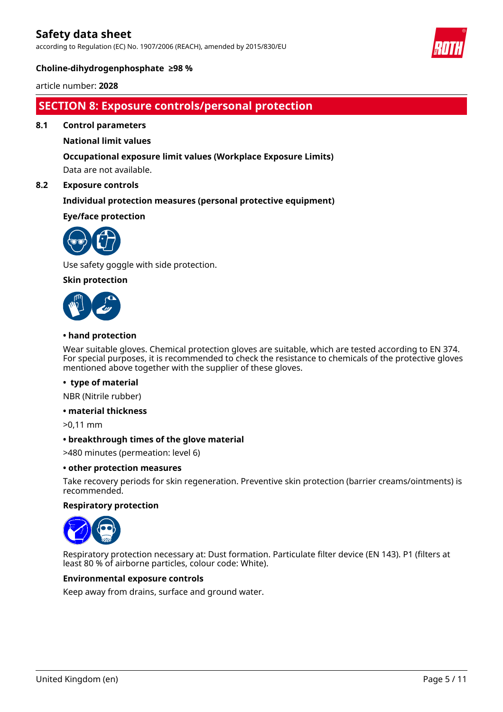according to Regulation (EC) No. 1907/2006 (REACH), amended by 2015/830/EU



#### **Choline-dihydrogenphosphate ≥98 %**

article number: **2028**

## **SECTION 8: Exposure controls/personal protection**

**8.1 Control parameters**

### **National limit values**

#### **Occupational exposure limit values (Workplace Exposure Limits)**

Data are not available.

#### **8.2 Exposure controls**

#### **Individual protection measures (personal protective equipment)**

#### **Eye/face protection**



Use safety goggle with side protection.

#### **Skin protection**



#### **• hand protection**

Wear suitable gloves. Chemical protection gloves are suitable, which are tested according to EN 374. For special purposes, it is recommended to check the resistance to chemicals of the protective gloves mentioned above together with the supplier of these gloves.

#### **• type of material**

NBR (Nitrile rubber)

#### **• material thickness**

>0,11 mm

#### **• breakthrough times of the glove material**

>480 minutes (permeation: level 6)

#### **• other protection measures**

Take recovery periods for skin regeneration. Preventive skin protection (barrier creams/ointments) is recommended.

#### **Respiratory protection**



Respiratory protection necessary at: Dust formation. Particulate filter device (EN 143). P1 (filters at least 80 % of airborne particles, colour code: White).

#### **Environmental exposure controls**

Keep away from drains, surface and ground water.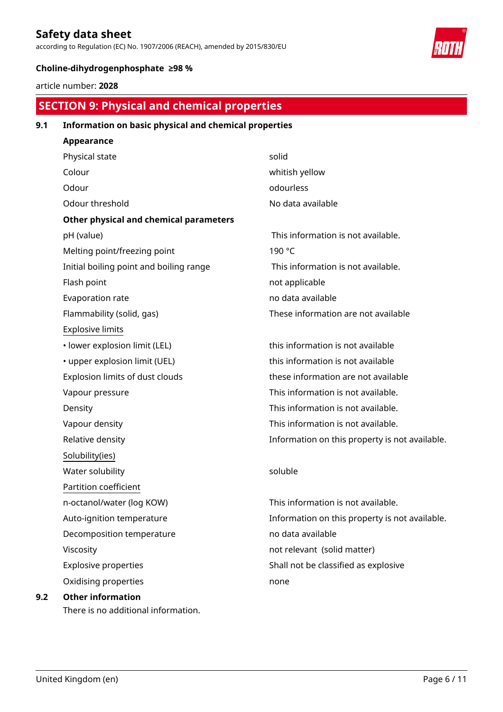according to Regulation (EC) No. 1907/2006 (REACH), amended by 2015/830/EU



## **Choline-dihydrogenphosphate ≥98 %**

article number: **2028**

# **SECTION 9: Physical and chemical properties**

## **9.1 Information on basic physical and chemical properties**

| Appearance                              |                                                |
|-----------------------------------------|------------------------------------------------|
| Physical state                          | solid                                          |
| Colour                                  | whitish yellow                                 |
| Odour                                   | odourless                                      |
| Odour threshold                         | No data available                              |
| Other physical and chemical parameters  |                                                |
| pH (value)                              | This information is not available.             |
| Melting point/freezing point            | 190 °C                                         |
| Initial boiling point and boiling range | This information is not available.             |
| Flash point                             | not applicable                                 |
| Evaporation rate                        | no data available                              |
| Flammability (solid, gas)               | These information are not available            |
| <b>Explosive limits</b>                 |                                                |
| · lower explosion limit (LEL)           | this information is not available              |
| • upper explosion limit (UEL)           | this information is not available              |
| Explosion limits of dust clouds         | these information are not available            |
| Vapour pressure                         | This information is not available.             |
| Density                                 | This information is not available.             |
| Vapour density                          | This information is not available.             |
| Relative density                        | Information on this property is not available. |
| Solubility(ies)                         |                                                |
| Water solubility                        | soluble                                        |
| Partition coefficient                   |                                                |
| n-octanol/water (log KOW)               | This information is not available.             |
| Auto-ignition temperature               | Information on this property is not available. |
| Decomposition temperature               | no data available                              |
| Viscosity                               | not relevant (solid matter)                    |
| <b>Explosive properties</b>             | Shall not be classified as explosive           |
| Oxidising properties                    | none                                           |
| <b>Other information</b>                |                                                |
| There is no additional information.     |                                                |

**9.2**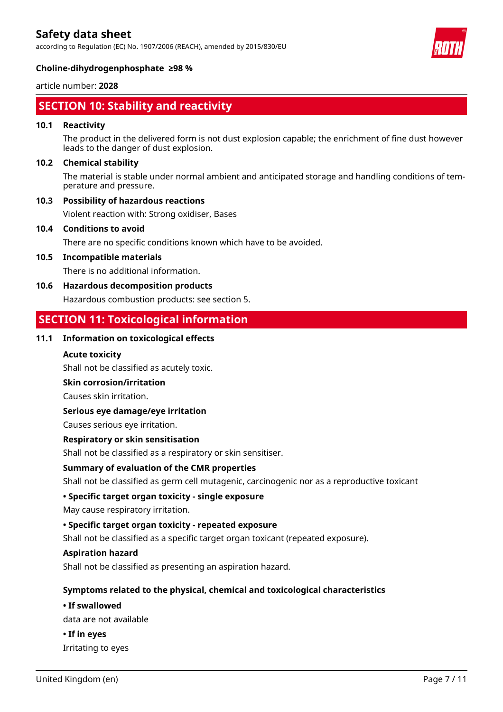according to Regulation (EC) No. 1907/2006 (REACH), amended by 2015/830/EU



#### **Choline-dihydrogenphosphate ≥98 %**

article number: **2028**

## **SECTION 10: Stability and reactivity**

### **10.1 Reactivity**

The product in the delivered form is not dust explosion capable; the enrichment of fine dust however leads to the danger of dust explosion.

### **10.2 Chemical stability**

The material is stable under normal ambient and anticipated storage and handling conditions of temperature and pressure.

### **10.3 Possibility of hazardous reactions**

Violent reaction with: Strong oxidiser, Bases

#### **10.4 Conditions to avoid**

There are no specific conditions known which have to be avoided.

### **10.5 Incompatible materials**

There is no additional information.

### **10.6 Hazardous decomposition products**

Hazardous combustion products: see section 5.

## **SECTION 11: Toxicological information**

## **11.1 Information on toxicological effects**

### **Acute toxicity**

Shall not be classified as acutely toxic.

#### **Skin corrosion/irritation**

Causes skin irritation.

#### **Serious eye damage/eye irritation**

Causes serious eye irritation.

#### **Respiratory or skin sensitisation**

Shall not be classified as a respiratory or skin sensitiser.

## **Summary of evaluation of the CMR properties**

Shall not be classified as germ cell mutagenic, carcinogenic nor as a reproductive toxicant

## **• Specific target organ toxicity - single exposure**

May cause respiratory irritation.

## **• Specific target organ toxicity - repeated exposure**

Shall not be classified as a specific target organ toxicant (repeated exposure).

#### **Aspiration hazard**

Shall not be classified as presenting an aspiration hazard.

## **Symptoms related to the physical, chemical and toxicological characteristics**

#### **• If swallowed**

data are not available

**• If in eyes** Irritating to eyes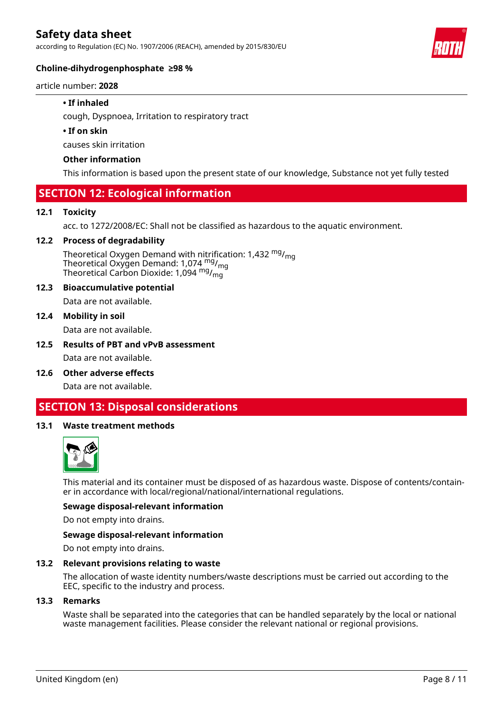according to Regulation (EC) No. 1907/2006 (REACH), amended by 2015/830/EU



### **Choline-dihydrogenphosphate ≥98 %**

article number: **2028**

### **• If inhaled**

cough, Dyspnoea, Irritation to respiratory tract

#### **• If on skin**

causes skin irritation

### **Other information**

This information is based upon the present state of our knowledge, Substance not yet fully tested

## **SECTION 12: Ecological information**

#### **12.1 Toxicity**

acc. to 1272/2008/EC: Shall not be classified as hazardous to the aquatic environment.

#### **12.2 Process of degradability**

Theoretical Oxygen Demand with nitrification: 1,432  $mg/m<sub>0</sub>$ Theoretical Oxygen Demand: 1,074  $mg/m<sub>g</sub>$ Theoretical Carbon Dioxide: 1,094 <sup>mg</sup>/<sub>mg</sub>

#### **12.3 Bioaccumulative potential**

Data are not available.

#### **12.4 Mobility in soil**

Data are not available.

**12.5 Results of PBT and vPvB assessment**

Data are not available.

**12.6 Other adverse effects**

Data are not available.

## **SECTION 13: Disposal considerations**

#### **13.1 Waste treatment methods**



This material and its container must be disposed of as hazardous waste. Dispose of contents/container in accordance with local/regional/national/international regulations.

#### **Sewage disposal-relevant information**

Do not empty into drains.

#### **Sewage disposal-relevant information**

Do not empty into drains.

#### **13.2 Relevant provisions relating to waste**

The allocation of waste identity numbers/waste descriptions must be carried out according to the EEC, specific to the industry and process.

#### **13.3 Remarks**

Waste shall be separated into the categories that can be handled separately by the local or national waste management facilities. Please consider the relevant national or regional provisions.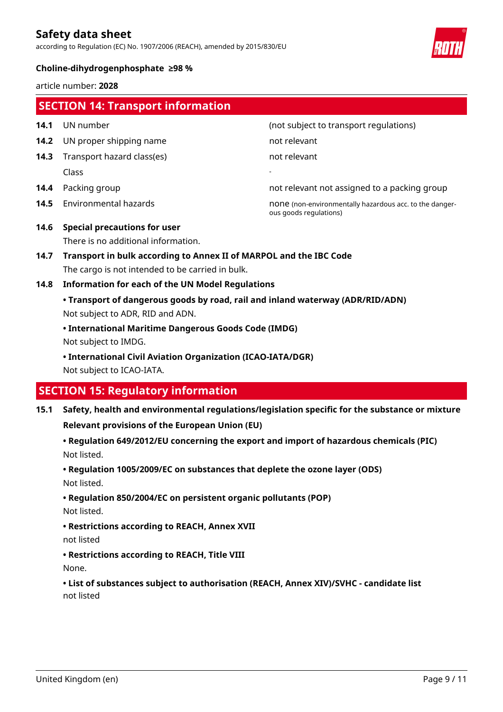according to Regulation (EC) No. 1907/2006 (REACH), amended by 2015/830/EU



#### **Choline-dihydrogenphosphate ≥98 %**

article number: **2028**

| <b>SECTION 14: Transport information</b> |                                     |                                                                                   |
|------------------------------------------|-------------------------------------|-----------------------------------------------------------------------------------|
| 14.1                                     | UN number                           | (not subject to transport regulations)                                            |
| 14.2                                     | UN proper shipping name             | not relevant                                                                      |
| 14.3                                     | Transport hazard class(es)          | not relevant                                                                      |
|                                          | Class                               |                                                                                   |
| 14.4                                     | Packing group                       | not relevant not assigned to a packing group                                      |
| 14.5                                     | Environmental hazards               | none (non-environmentally hazardous acc. to the danger-<br>ous goods regulations) |
| 14.6                                     | <b>Special precautions for user</b> |                                                                                   |
|                                          | There is no additional information. |                                                                                   |
|                                          |                                     |                                                                                   |

- **14.7 Transport in bulk according to Annex II of MARPOL and the IBC Code** The cargo is not intended to be carried in bulk.
- **14.8 Information for each of the UN Model Regulations**
	- **Transport of dangerous goods by road, rail and inland waterway (ADR/RID/ADN)** Not subject to ADR, RID and ADN.
	- **International Maritime Dangerous Goods Code (IMDG)**

Not subject to IMDG.

**• International Civil Aviation Organization (ICAO-IATA/DGR)**

Not subject to ICAO-IATA.

## **SECTION 15: Regulatory information**

**15.1 Safety, health and environmental regulations/legislation specific for the substance or mixture**

**Relevant provisions of the European Union (EU)**

**• Regulation 649/2012/EU concerning the export and import of hazardous chemicals (PIC)** Not listed.

**• Regulation 1005/2009/EC on substances that deplete the ozone layer (ODS)**

Not listed.

**• Regulation 850/2004/EC on persistent organic pollutants (POP)**

Not listed.

**• Restrictions according to REACH, Annex XVII**

not listed

**• Restrictions according to REACH, Title VIII** None.

**• List of substances subject to authorisation (REACH, Annex XIV)/SVHC - candidate list** not listed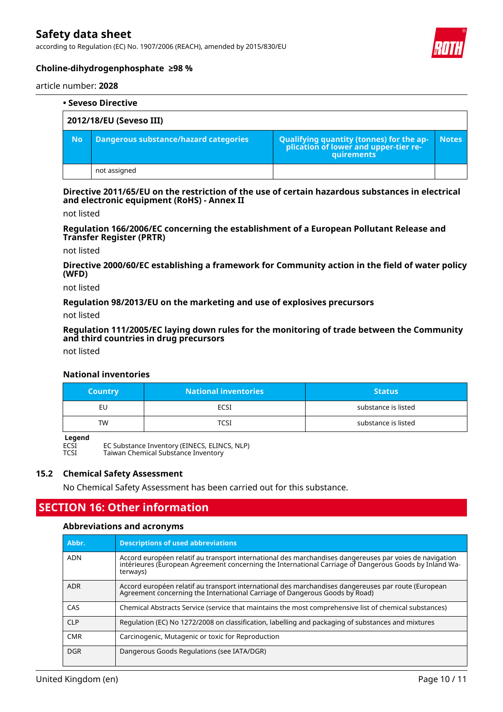according to Regulation (EC) No. 1907/2006 (REACH), amended by 2015/830/EU



### **Choline-dihydrogenphosphate ≥98 %**

article number: **2028**

| • Seveso Directive      |                                              |                                                                                            |              |
|-------------------------|----------------------------------------------|--------------------------------------------------------------------------------------------|--------------|
| 2012/18/EU (Seveso III) |                                              |                                                                                            |              |
| <b>No</b>               | <b>Dangerous substance/hazard categories</b> | Qualifying quantity (tonnes) for the application of lower and upper-tier re-<br>quirements | <b>Notes</b> |
|                         | not assigned                                 |                                                                                            |              |

**Directive 2011/65/EU on the restriction of the use of certain hazardous substances in electrical and electronic equipment (RoHS) - Annex II**

not listed

**Regulation 166/2006/EC concerning the establishment of a European Pollutant Release and Transfer Register (PRTR)**

not listed

**Directive 2000/60/EC establishing a framework for Community action in the field of water policy (WFD)**

not listed

**Regulation 98/2013/EU on the marketing and use of explosives precursors**

not listed

**Regulation 111/2005/EC laying down rules for the monitoring of trade between the Community and third countries in drug precursors**

not listed

#### **National inventories**

| <b>Country</b> | <b>National inventories</b> | <b>Status</b>       |
|----------------|-----------------------------|---------------------|
| EU             | ECSI                        | substance is listed |
| TW             | דר?                         | substance is listed |

**Legend**<br>ECSI<br>TCSI

EC Substance Inventory (EINECS, ELINCS, NLP) Taiwan Chemical Substance Inventory

#### **15.2 Chemical Safety Assessment**

No Chemical Safety Assessment has been carried out for this substance.

## **SECTION 16: Other information**

#### **Abbreviations and acronyms**

| Abbr.      | <b>Descriptions of used abbreviations</b>                                                                                                                                                                                     |
|------------|-------------------------------------------------------------------------------------------------------------------------------------------------------------------------------------------------------------------------------|
| <b>ADN</b> | Accord européen relatif au transport international des marchandises dangereuses par voies de navigation<br>intérieures (European Agreement concerning the International Carriage of Dangerous Goods by Inland Wa-<br>terways) |
| ADR        | Accord européen relatif au transport international des marchandises dangereuses par route (European<br>Agreement concerning the International Carriage of Dangerous Goods by Road)                                            |
| CAS        | Chemical Abstracts Service (service that maintains the most comprehensive list of chemical substances)                                                                                                                        |
| <b>CLP</b> | Regulation (EC) No 1272/2008 on classification, labelling and packaging of substances and mixtures                                                                                                                            |
| <b>CMR</b> | Carcinogenic, Mutagenic or toxic for Reproduction                                                                                                                                                                             |
| <b>DGR</b> | Dangerous Goods Regulations (see IATA/DGR)                                                                                                                                                                                    |